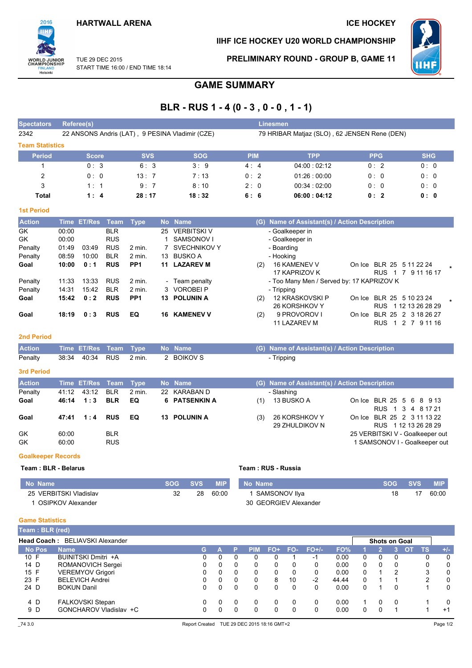## **HARTWALL ARENA**

## **ICE HOCKEY**

# 2016 **WORLD JUNIOR**<br>CHAMPIONSHIP **FINLAND**<br>Helsinki

# IIHF ICE HOCKEY U20 WORLD CHAMPIONSHIP



TUF 29 DFC 2015 START TIME 16:00 / END TIME 18:14 PRELIMINARY ROUND - GROUP B, GAME 11

# **GAME SUMMARY**

# BLR - RUS 1 - 4 (0 - 3, 0 - 0, 1 - 1)

| <b>Spectators</b>      | Referee(s)                                      |            |            | <b>Linesmen</b> |                                              |            |            |
|------------------------|-------------------------------------------------|------------|------------|-----------------|----------------------------------------------|------------|------------|
| 2342                   | 22 ANSONS Andris (LAT), 9 PESINA Vladimir (CZE) |            |            |                 | 79 HRIBAR Matjaz (SLO), 62 JENSEN Rene (DEN) |            |            |
| <b>Team Statistics</b> |                                                 |            |            |                 |                                              |            |            |
| <b>Period</b>          | <b>Score</b>                                    | <b>SVS</b> | <b>SOG</b> | <b>PIM</b>      | <b>TPP</b>                                   | <b>PPG</b> | <b>SHG</b> |
|                        | 0:3                                             | 6:3        | 3:9        | 4:4             | 04:00:02:12                                  | 0:2        | 0:0        |
| 2                      | 0:0                                             | 13:7       | 7:13       | 0:2             | 01:26:00:00                                  | 0:0        | 0:0        |
| 3                      | 1:1                                             | 9:7        | 8:10       | 2:0             | 00:34:02:00                                  | 0:0        | 0:0        |
| Total                  | 1:4                                             | 28:17      | 18:32      | 6:6             | 06:00:04:12                                  | 0:2        | 0:0        |
| <b>1st Period</b>      |                                                 |            |            |                 |                                              |            |            |

| <b>Action</b> |       | Time ET/Res | Team       | Type            |    | No Name             |     | (G) Name of Assistant(s) / Action Description |        |                                           |  |
|---------------|-------|-------------|------------|-----------------|----|---------------------|-----|-----------------------------------------------|--------|-------------------------------------------|--|
| GK.           | 00:00 |             | <b>BLR</b> |                 | 25 | <b>VERBITSKI V</b>  |     | - Goalkeeper in                               |        |                                           |  |
| GK            | 00:00 |             | <b>RUS</b> |                 |    | SAMSONOV I          |     | - Goalkeeper in                               |        |                                           |  |
| Penalty       | 01:49 | 03:49       | <b>RUS</b> | 2 min.          |    | <b>SVECHNIKOV Y</b> |     | - Boarding                                    |        |                                           |  |
| Penalty       | 08:59 | 10:00       | <b>BLR</b> | 2 min.          | 13 | BUSKO A             |     | - Hooking                                     |        |                                           |  |
| Goal          | 10:00 | 0:1         | <b>RUS</b> | PP <sub>1</sub> | 11 | <b>LAZAREV M</b>    | (2) | <b>16 KAMENEV V</b>                           |        | On Ice BLR 25 5 11 22 24                  |  |
|               |       |             |            |                 |    |                     |     | 17 KAPRIZOV K                                 |        | <b>RUS</b><br>9 11 16 17<br>- 7           |  |
| Penalty       | 11:33 | 13:33       | <b>RUS</b> | 2 min.          |    | - Team penalty      |     | - Too Many Men / Served by: 17 KAPRIZOV K     |        |                                           |  |
| Penalty       | 14:31 | 15:42       | <b>BLR</b> | 2 min.          |    | 3 VOROBELP          |     | - Tripping                                    |        |                                           |  |
| Goal          | 15:42 | 0:2         | <b>RUS</b> | PP <sub>1</sub> | 13 | <b>POLUNIN A</b>    | (2) | 12 KRASKOVSKI P                               | On Ice | BLR 25 5 10 23 24                         |  |
|               |       |             |            |                 |    |                     |     | 26 KORSHKOV Y                                 |        | RUS 1 12 13 26 28 29                      |  |
| Goal          | 18:19 | 0:3         | <b>RUS</b> | EQ              | 16 | <b>KAMENEV V</b>    | (2) | 9 PROVOROV I                                  | On Ice | BLR 25 2 3 18 26 27                       |  |
|               |       |             |            |                 |    |                     |     | 11 LAZAREV M                                  |        | <b>RUS</b><br>7 9 11 16<br>$\overline{2}$ |  |

#### 2nd Period

| <b>Action</b>     |  | Time ET/Res Team Type No Name |            | (G) Name of Assistant(s) / Action Description |
|-------------------|--|-------------------------------|------------|-----------------------------------------------|
| Penalty           |  | 2 min.                        | 2 BOIKOV S | - Tripping                                    |
| <b>3rd Period</b> |  |                               |            |                                               |

| <b>Action</b> |       | Time ET/Res Team Type |            |        | No Name       |     | (G) Name of Assistant(s) / Action Description |                                 |
|---------------|-------|-----------------------|------------|--------|---------------|-----|-----------------------------------------------|---------------------------------|
| Penalty       | 41.12 | 43:12 BLR             |            | 2 min. | 22 KARABAN D  |     | - Slashing                                    |                                 |
| Goal          |       | 46:14  1:3  BLR       |            | EQ     | 6 PATSENKIN A | (1) | 13 BUSKO A                                    | On Ice BLR 25 5 6 8 9 13        |
|               |       |                       |            |        |               |     |                                               | RUS 1 3 4 8 17 21               |
| Goal          | 47:41 | 1:4                   | <b>RUS</b> | EQ.    | 13 POLUNIN A  | (3) | 26 KORSHKOV Y                                 | On Ice BLR 25 2 3 11 13 22      |
|               |       |                       |            |        |               |     | 29 ZHULDIKOV N                                | RUS 1 12 13 26 28 29            |
| GK            | 60:00 |                       | <b>BLR</b> |        |               |     |                                               | 25 VERBITSKI V - Goalkeeper out |
| <b>GK</b>     | 60:00 |                       | <b>RUS</b> |        |               |     |                                               | 1 SAMSONOV I - Goalkeeper out   |

#### **Goalkeeper Records**

Team: BLR - Belarus

| Mo Name                | SOG | <b>SVS</b> | <b>MIP</b> | l No Name <b>\</b>    | <b>SOG</b> | <b>SVS</b> | <b>MIP</b> |
|------------------------|-----|------------|------------|-----------------------|------------|------------|------------|
| 25 VERBITSKI Vladislav | 32  | 28         | 60:00      | 1 SAMSONOV IIva       | 18         |            | 60:00      |
| OSIPKOV Alexander      |     |            |            | 30 GEORGIEV Alexander |            |            |            |

Team: RUS - Russia

#### **Game Statistics**

| Team: BLR (red)     |                            |    |   |              |            |       |          |         |       |          |                      |          |           |           |              |
|---------------------|----------------------------|----|---|--------------|------------|-------|----------|---------|-------|----------|----------------------|----------|-----------|-----------|--------------|
| <b>Head Coach :</b> | BELIAVSKI Alexander        |    |   |              |            |       |          |         |       |          | <b>Shots on Goal</b> |          |           |           |              |
| <b>No Pos</b>       | Name                       | G. |   | P            | <b>PIM</b> | $FO+$ | FO-      | $FO+/-$ | FO%   |          |                      | ٦A       | <b>OT</b> | <b>TS</b> | $+/-$        |
| 10 F                | <b>BUINITSKI Dmitri +A</b> | 0  |   | 0            |            |       |          | -1      | 0.00  | $\Omega$ | 0                    | 0        |           |           | 0            |
| 14 D                | ROMANOVICH Sergei          | 0  | 0 | 0            | 0          | 0     | 0        | 0       | 0.00  | $\Omega$ | 0                    | 0        |           | 0         | 0            |
| 15 F                | <b>VEREMYOV Grigori</b>    | 0  | 0 | $\mathbf{0}$ | 0          | 0     | 0        | 0       | 0.00  | 0        |                      | 2        |           | 3         | 0            |
| 23 F                | <b>BELEVICH Andrei</b>     | 0  | 0 | $\mathbf{0}$ | 0          | 8     | 10       | $-2$    | 44.44 | 0        |                      |          |           | 2         | 0            |
| 24 D                | <b>BOKUN Danil</b>         | 0  | 0 | 0            | 0          |       | 0        | 0       | 0.00  | 0        |                      | 0        |           |           | 0            |
| 4 D                 | <b>FALKOVSKI Stepan</b>    |    | 0 | $\Omega$     | 0          |       | $\Omega$ | 0       | 0.00  |          | $\Omega$             | $\Omega$ |           |           | $\mathbf{0}$ |
| 9 D                 | GONCHAROV Vladislav +C     |    |   | 0            |            |       | 0        | 0       | 0.00  | 0        |                      |          |           |           | $+1$         |